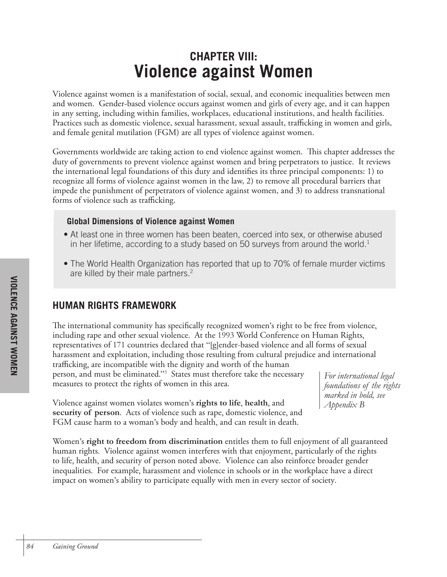# **CHAPTER VIII: Violence against Women**

Violence against women is a manifestation of social, sexual, and economic inequalities between men and women. Gender-based violence occurs against women and girls of every age, and it can happen in any setting, including within families, workplaces, educational institutions, and health facilities. Practices such as domestic violence, sexual harassment, sexual assault, trafficking in women and girls, and female genital mutilation (FGM) are all types of violence against women.

Governments worldwide are taking action to end violence against women. This chapter addresses the duty of governments to prevent violence against women and bring perpetrators to justice. It reviews the international legal foundations of this duty and identifies its three principal components: 1) to recognize all forms of violence against women in the law, 2) to remove all procedural barriers that impede the punishment of perpetrators of violence against women, and 3) to address transnational forms of violence such as trafficking.

### **Global Dimensions of Violence against Women**

- At least one in three women has been beaten, coerced into sex, or otherwise abused in her lifetime, according to a study based on 50 surveys from around the world.<sup>1</sup>
- The World Health Organization has reported that up to 70% of female murder victims are killed by their male partners.<sup>2</sup>

# **HUMAN RIGHTS FRAMEWORK**

The international community has specifically recognized women's right to be free from violence, including rape and other sexual violence. At the 1993 World Conference on Human Rights, representatives of 171 countries declared that "[g]ender-based violence and all forms of sexual harassment and exploitation, including those resulting from cultural prejudice and international trafficking, are incompatible with the dignity and worth of the human

person, and must be eliminated."3 States must therefore take the necessary measures to protect the rights of women in this area.

*For international legal foundations of the rights marked in bold, see Appendix B*

Violence against women violates women's **rights to life**, **health**, and **security of person**. Acts of violence such as rape, domestic violence, and FGM cause harm to a woman's body and health, and can result in death.

Women's **right to freedom from discrimination** entitles them to full enjoyment of all guaranteed human rights. Violence against women interferes with that enjoyment, particularly of the rights to life, health, and security of person noted above. Violence can also reinforce broader gender inequalities. For example, harassment and violence in schools or in the workplace have a direct impact on women's ability to participate equally with men in every sector of society.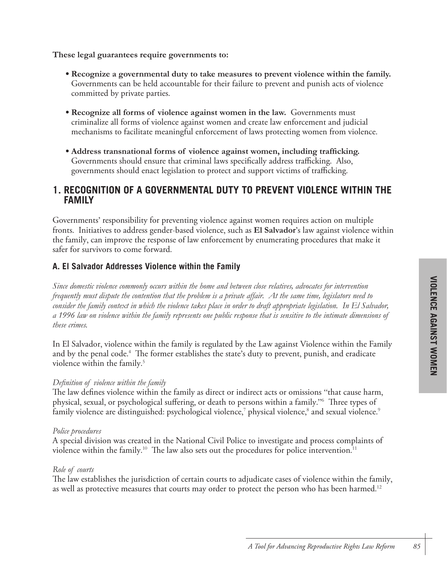#### **These legal guarantees require governments to:**

- **Recognize a governmental duty to take measures to prevent violence within the family.**  Governments can be held accountable for their failure to prevent and punish acts of violence committed by private parties.
- **Recognize all forms of violence against women in the law.** Governments must criminalize all forms of violence against women and create law enforcement and judicial mechanisms to facilitate meaningful enforcement of laws protecting women from violence.
- **Address transnational forms of violence against women, including trafficking.** Governments should ensure that criminal laws specifically address trafficking. Also, governments should enact legislation to protect and support victims of trafficking.

## **1. RECOGNITION OF A GOVERNMENTAL DUTY TO PREVENT VIOLENCE WITHIN THE FAMILY**

Governments' responsibility for preventing violence against women requires action on multiple fronts. Initiatives to address gender-based violence, such as **El Salvador**'s law against violence within the family, can improve the response of law enforcement by enumerating procedures that make it safer for survivors to come forward.

#### **A. El Salvador Addresses Violence within the Family**

*Since domestic violence commonly occurs within the home and between close relatives, advocates for intervention frequently must dispute the contention that the problem is a private affair. At the same time, legislators need to consider the family context in which the violence takes place in order to draft appropriate legislation. In El Salvador, a 1996 law on violence within the family represents one public response that is sensitive to the intimate dimensions of these crimes.*

In El Salvador, violence within the family is regulated by the Law against Violence within the Family and by the penal code. 4 The former establishes the state's duty to prevent, punish, and eradicate violence within the family. 5

#### *Definition of violence within the family*

The law defines violence within the family as direct or indirect acts or omissions "that cause harm, physical, sexual, or psychological suffering, or death to persons within a family."6 Three types of family violence are distinguished: psychological violence, $^7$  physical violence, $^8$  and sexual violence. $^9$ 

#### *Police procedures*

A special division was created in the National Civil Police to investigate and process complaints of violence within the family. $^{10}$  The law also sets out the procedures for police intervention. $^{11}$ 

#### *Role of courts*

The law establishes the jurisdiction of certain courts to adjudicate cases of violence within the family, as well as protective measures that courts may order to protect the person who has been harmed. 12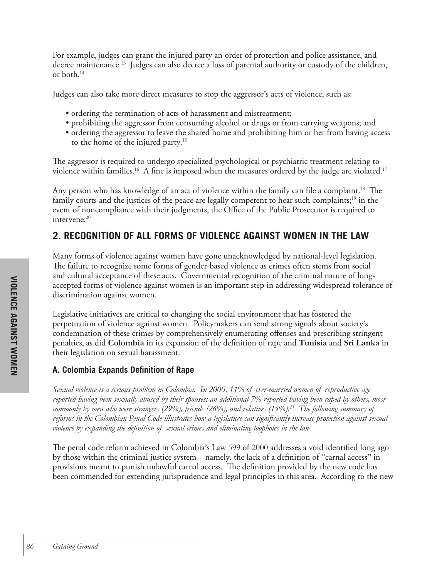For example, judges can grant the injured party an order of protection and police assistance, and decree maintenance. 13 Judges can also decree a loss of parental authority or custody of the children, or both. 14

Judges can also take more direct measures to stop the aggressor's acts of violence, such as:

- ordering the termination of acts of harassment and mistreatment;
- prohibiting the aggressor from consuming alcohol or drugs or from carrying weapons; and
- ordering the aggressor to leave the shared home and prohibiting him or her from having access to the home of the injured party. 15

The aggressor is required to undergo specialized psychological or psychiatric treatment relating to violence within families. 16 A fine is imposed when the measures ordered by the judge are violated. 17

Any person who has knowledge of an act of violence within the family can file a complaint. 18 The family courts and the justices of the peace are legally competent to hear such complaints;<sup>19</sup> in the event of noncompliance with their judgments, the Office of the Public Prosecutor is required to intervene. 20

# **2. RECOGNITION OF ALL FORMS OF VIOLENCE AGAINST WOMEN IN THE LAW**

Many forms of violence against women have gone unacknowledged by national-level legislation. The failure to recognize some forms of gender-based violence as crimes often stems from social and cultural acceptance of these acts. Governmental recognition of the criminal nature of longaccepted forms of violence against women is an important step in addressing widespread tolerance of discrimination against women.

Legislative initiatives are critical to changing the social environment that has fostered the perpetuation of violence against women. Policymakers can send strong signals about society's condemnation of these crimes by comprehensively enumerating offenses and prescribing stringent penalties, as did **Colombia** in its expansion of the definition of rape and **Tunisia** and **Sri Lanka** in their legislation on sexual harassment.

# **A. Colombia Expands Definition of Rape**

*Sexual violence is a serious problem in Colombia. In 2000, 11% of ever-married women of reproductive age reported having been sexually abused by their spouses; an additional 7% reported having been raped by others, most commonly by men who were strangers (29%), friends (26%), and relatives (15%).21 The following summary of reforms in the Colombian Penal Code illustrates how a legislature can significantly increase protection against sexual violence by expanding the definition of sexual crimes and eliminating loopholes in the law.*

The penal code reform achieved in Colombia's Law 599 of 2000 addresses a void identified long ago by those within the criminal justice system—namely, the lack of a definition of "carnal access" in provisions meant to punish unlawful carnal access. The definition provided by the new code has been commended for extending jurisprudence and legal principles in this area. According to the new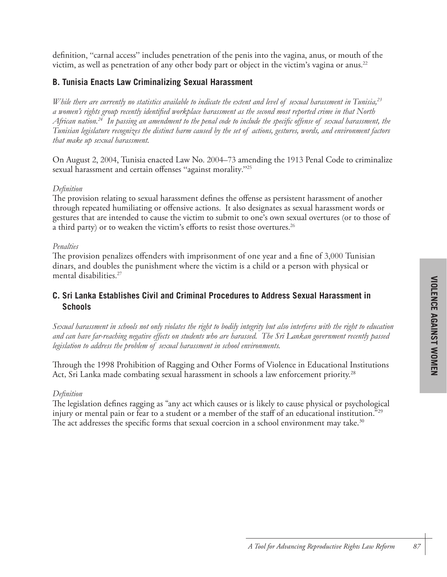definition, "carnal access" includes penetration of the penis into the vagina, anus, or mouth of the victim, as well as penetration of any other body part or object in the victim's vagina or anus. $^{22}$ 

### **B. Tunisia Enacts Law Criminalizing Sexual Harassment**

*While there are currently no statistics available to indicate the extent and level of sexual harassment in Tunisia,23 a women's rights group recently identified workplace harassment as the second most reported crime in that North African nation.24 In passing an amendment to the penal code to include the specific offense of sexual harassment, the Tunisian legislature recognizes the distinct harm caused by the set of actions, gestures, words, and environment factors that make up sexual harassment.* 

On August 2, 2004, Tunisia enacted Law No. 2004–73 amending the 1913 Penal Code to criminalize sexual harassment and certain offenses "against morality."25

#### *Definition*

The provision relating to sexual harassment defines the offense as persistent harassment of another through repeated humiliating or offensive actions. It also designates as sexual harassment words or gestures that are intended to cause the victim to submit to one's own sexual overtures (or to those of a third party) or to weaken the victim's efforts to resist those overtures.<sup>26</sup>

#### *Penalties*

The provision penalizes offenders with imprisonment of one year and a fine of 3,000 Tunisian dinars, and doubles the punishment where the victim is a child or a person with physical or mental disabilities. 27

# **C. Sri Lanka Establishes Civil and Criminal Procedures to Address Sexual Harassment in Schools**

*Sexual harassment in schools not only violates the right to bodily integrity but also interferes with the right to education and can have far-reaching negative effects on students who are harassed. The Sri Lankan government recently passed legislation to address the problem of sexual harassment in school environments.*

Through the 1998 Prohibition of Ragging and Other Forms of Violence in Educational Institutions Act, Sri Lanka made combating sexual harassment in schools a law enforcement priority.<sup>28</sup>

#### *Definition*

The legislation defines ragging as "any act which causes or is likely to cause physical or psychological injury or mental pain or fear to a student or a member of the staff of an educational institution."29 The act addresses the specific forms that sexual coercion in a school environment may take.<sup>30</sup>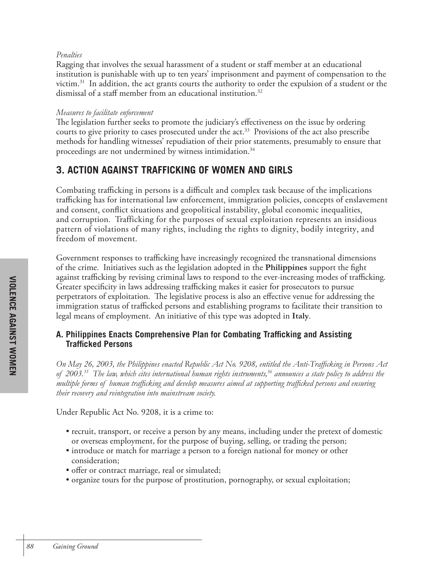#### *Penalties*

Ragging that involves the sexual harassment of a student or staff member at an educational institution is punishable with up to ten years' imprisonment and payment of compensation to the victim.<sup>31</sup> In addition, the act grants courts the authority to order the expulsion of a student or the dismissal of a staff member from an educational institution.<sup>32</sup>

#### *Measures to facilitate enforcement*

The legislation further seeks to promote the judiciary's effectiveness on the issue by ordering courts to give priority to cases prosecuted under the act.<sup>33</sup> Provisions of the act also prescribe methods for handling witnesses' repudiation of their prior statements, presumably to ensure that proceedings are not undermined by witness intimidation.<sup>34</sup>

# **3. ACTION AGAINST TRAFFICKING OF WOMEN AND GIRLS**

Combating trafficking in persons is a difficult and complex task because of the implications trafficking has for international law enforcement, immigration policies, concepts of enslavement and consent, conflict situations and geopolitical instability, global economic inequalities, and corruption. Trafficking for the purposes of sexual exploitation represents an insidious pattern of violations of many rights, including the rights to dignity, bodily integrity, and freedom of movement.

Government responses to trafficking have increasingly recognized the transnational dimensions of the crime. Initiatives such as the legislation adopted in the **Philippines** support the fight against trafficking by revising criminal laws to respond to the ever-increasing modes of trafficking. Greater specificity in laws addressing trafficking makes it easier for prosecutors to pursue perpetrators of exploitation. The legislative process is also an effective venue for addressing the immigration status of trafficked persons and establishing programs to facilitate their transition to legal means of employment. An initiative of this type was adopted in **Italy**.

### **A. Philippines Enacts Comprehensive Plan for Combating Trafficking and Assisting Trafficked Persons**

*On May 26, 2003, the Philippines enacted Republic Act No. 9208, entitled the Anti-Trafficking in Persons Act of 2003.35 The law, which cites international human rights instruments,36 announces a state policy to address the multiple forms of human trafficking and develop measures aimed at supporting trafficked persons and ensuring their recovery and reintegration into mainstream society.* 

Under Republic Act No. 9208, it is a crime to:

- recruit, transport, or receive a person by any means, including under the pretext of domestic or overseas employment, for the purpose of buying, selling, or trading the person;
- introduce or match for marriage a person to a foreign national for money or other consideration;
- offer or contract marriage, real or simulated;
- organize tours for the purpose of prostitution, pornography, or sexual exploitation;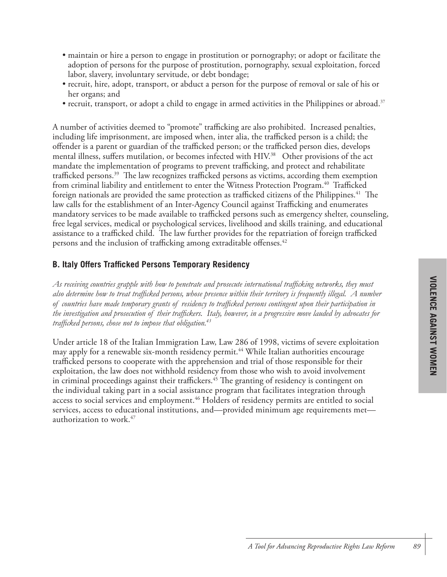- maintain or hire a person to engage in prostitution or pornography; or adopt or facilitate the adoption of persons for the purpose of prostitution, pornography, sexual exploitation, forced labor, slavery, involuntary servitude, or debt bondage;
- recruit, hire, adopt, transport, or abduct a person for the purpose of removal or sale of his or her organs; and
- recruit, transport, or adopt a child to engage in armed activities in the Philippines or abroad.<sup>37</sup>

A number of activities deemed to "promote" trafficking are also prohibited. Increased penalties, including life imprisonment, are imposed when, inter alia, the trafficked person is a child; the offender is a parent or guardian of the trafficked person; or the trafficked person dies, develops mental illness, suffers mutilation, or becomes infected with HIV.<sup>38</sup> Other provisions of the act mandate the implementation of programs to prevent trafficking, and protect and rehabilitate trafficked persons.<sup>39</sup> The law recognizes trafficked persons as victims, according them exemption from criminal liability and entitlement to enter the Witness Protection Program.<sup>40</sup> Trafficked foreign nationals are provided the same protection as trafficked citizens of the Philippines.<sup>41</sup> The law calls for the establishment of an Inter-Agency Council against Trafficking and enumerates mandatory services to be made available to trafficked persons such as emergency shelter, counseling, free legal services, medical or psychological services, livelihood and skills training, and educational assistance to a trafficked child. The law further provides for the repatriation of foreign trafficked persons and the inclusion of trafficking among extraditable offenses.<sup>42</sup>

#### **B. Italy Offers Trafficked Persons Temporary Residency**

*As receiving countries grapple with how to penetrate and prosecute international trafficking networks, they must also determine how to treat trafficked persons, whose presence within their territory is frequently illegal. A number of countries have made temporary grants of residency to trafficked persons contingent upon their participation in the investigation and prosecution of their traffickers. Italy, however, in a progressive move lauded by advocates for trafficked persons, chose not to impose that obligation.43*

Under article 18 of the Italian Immigration Law, Law 286 of 1998, victims of severe exploitation may apply for a renewable six-month residency permit. <sup>44</sup> While Italian authorities encourage trafficked persons to cooperate with the apprehension and trial of those responsible for their exploitation, the law does not withhold residency from those who wish to avoid involvement in criminal proceedings against their traffickers. <sup>45</sup> The granting of residency is contingent on the individual taking part in a social assistance program that facilitates integration through access to social services and employment. <sup>46</sup> Holders of residency permits are entitled to social services, access to educational institutions, and—provided minimum age requirements met authorization to work. 47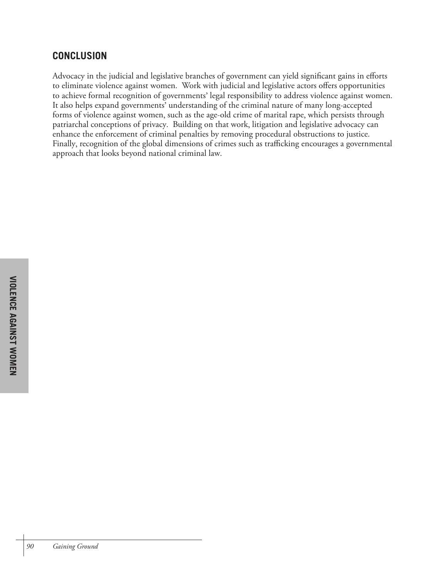# **CONCLUSION**

Advocacy in the judicial and legislative branches of government can yield significant gains in efforts to eliminate violence against women. Work with judicial and legislative actors offers opportunities to achieve formal recognition of governments' legal responsibility to address violence against women. It also helps expand governments' understanding of the criminal nature of many long-accepted forms of violence against women, such as the age-old crime of marital rape, which persists through patriarchal conceptions of privacy. Building on that work, litigation and legislative advocacy can enhance the enforcement of criminal penalties by removing procedural obstructions to justice. Finally, recognition of the global dimensions of crimes such as trafficking encourages a governmental approach that looks beyond national criminal law.